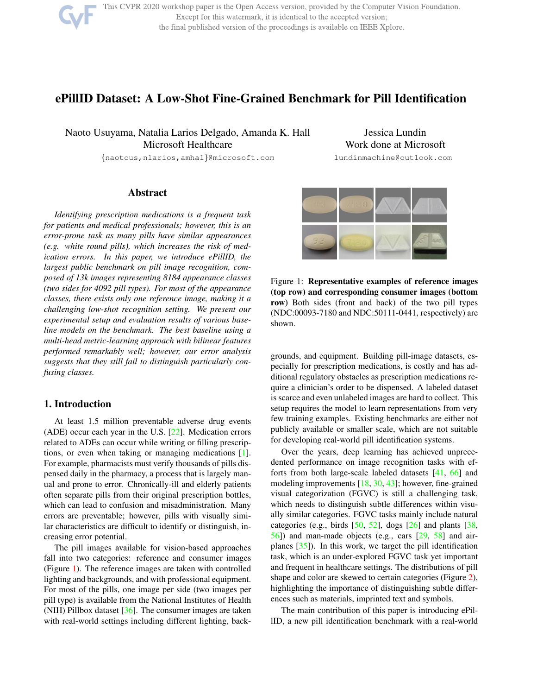

This CVPR 2020 workshop paper is the Open Access version, provided by the Computer Vision Foundation. Except for this watermark, it is identical to the accepted version; the final published version of the proceedings is available on IEEE Xplore.

# ePillID Dataset: A Low-Shot Fine-Grained Benchmark for Pill Identification

Naoto Usuyama, Natalia Larios Delgado, Amanda K. Hall Microsoft Healthcare

{naotous,nlarios,amhal}@microsoft.com

Jessica Lundin Work done at Microsoft lundinmachine@outlook.com

Abstract

*Identifying prescription medications is a frequent task for patients and medical professionals; however, this is an error-prone task as many pills have similar appearances (e.g. white round pills), which increases the risk of medication errors. In this paper, we introduce ePillID, the largest public benchmark on pill image recognition, composed of 13k images representing 8184 appearance classes (two sides for 4092 pill types). For most of the appearance classes, there exists only one reference image, making it a challenging low-shot recognition setting. We present our experimental setup and evaluation results of various baseline models on the benchmark. The best baseline using a multi-head metric-learning approach with bilinear features performed remarkably well; however, our error analysis suggests that they still fail to distinguish particularly confusing classes.*

### 1. Introduction

At least 1.5 million preventable adverse drug events (ADE) occur each year in the U.S. [22]. Medication errors related to ADEs can occur while writing or filling prescriptions, or even when taking or managing medications [1]. For example, pharmacists must verify thousands of pills dispensed daily in the pharmacy, a process that is largely manual and prone to error. Chronically-ill and elderly patients often separate pills from their original prescription bottles, which can lead to confusion and misadministration. Many errors are preventable; however, pills with visually similar characteristics are difficult to identify or distinguish, increasing error potential.

The pill images available for vision-based approaches fall into two categories: reference and consumer images (Figure 1). The reference images are taken with controlled lighting and backgrounds, and with professional equipment. For most of the pills, one image per side (two images per pill type) is available from the National Institutes of Health (NIH) Pillbox dataset [36]. The consumer images are taken with real-world settings including different lighting, back-



Figure 1: Representative examples of reference images (top row) and corresponding consumer images (bottom row) Both sides (front and back) of the two pill types (NDC:00093-7180 and NDC:50111-0441, respectively) are shown.

grounds, and equipment. Building pill-image datasets, especially for prescription medications, is costly and has additional regulatory obstacles as prescription medications require a clinician's order to be dispensed. A labeled dataset is scarce and even unlabeled images are hard to collect. This setup requires the model to learn representations from very few training examples. Existing benchmarks are either not publicly available or smaller scale, which are not suitable for developing real-world pill identification systems.

Over the years, deep learning has achieved unprecedented performance on image recognition tasks with efforts from both large-scale labeled datasets [41, 66] and modeling improvements [18, 30, 43]; however, fine-grained visual categorization (FGVC) is still a challenging task, which needs to distinguish subtle differences within visually similar categories. FGVC tasks mainly include natural categories (e.g., birds  $[50, 52]$ , dogs  $[26]$  and plants  $[38]$ , 56]) and man-made objects (e.g., cars [29, 58] and airplanes [35]). In this work, we target the pill identification task, which is an under-explored FGVC task yet important and frequent in healthcare settings. The distributions of pill shape and color are skewed to certain categories (Figure 2), highlighting the importance of distinguishing subtle differences such as materials, imprinted text and symbols.

The main contribution of this paper is introducing ePillID, a new pill identification benchmark with a real-world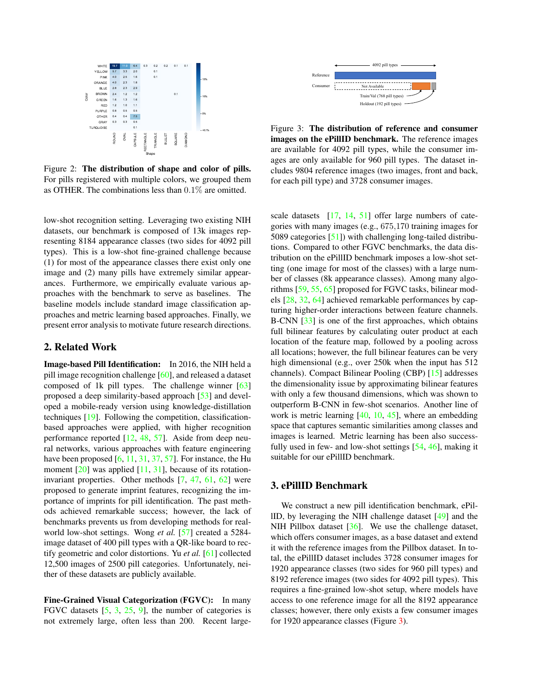

Figure 2: The distribution of shape and color of pills. For pills registered with multiple colors, we grouped them as OTHER. The combinations less than 0.1% are omitted.

low-shot recognition setting. Leveraging two existing NIH datasets, our benchmark is composed of 13k images representing 8184 appearance classes (two sides for 4092 pill types). This is a low-shot fine-grained challenge because (1) for most of the appearance classes there exist only one image and (2) many pills have extremely similar appearances. Furthermore, we empirically evaluate various approaches with the benchmark to serve as baselines. The baseline models include standard image classification approaches and metric learning based approaches. Finally, we present error analysis to motivate future research directions.

# 2. Related Work

Image-based Pill Identification: In 2016, the NIH held a pill image recognition challenge [60], and released a dataset composed of 1k pill types. The challenge winner [63] proposed a deep similarity-based approach [53] and developed a mobile-ready version using knowledge-distillation techniques [19]. Following the competition, classificationbased approaches were applied, with higher recognition performance reported [12, 48, 57]. Aside from deep neural networks, various approaches with feature engineering have been proposed  $[6, 11, 31, 37, 57]$ . For instance, the Hu moment  $[20]$  was applied  $[11, 31]$ , because of its rotationinvariant properties. Other methods [7, 47, 61, 62] were proposed to generate imprint features, recognizing the importance of imprints for pill identification. The past methods achieved remarkable success; however, the lack of benchmarks prevents us from developing methods for realworld low-shot settings. Wong *et al.* [57] created a 5284 image dataset of 400 pill types with a QR-like board to rectify geometric and color distortions. Yu *et al.* [61] collected 12,500 images of 2500 pill categories. Unfortunately, neither of these datasets are publicly available.

Fine-Grained Visual Categorization (FGVC): In many FGVC datasets [5, 3, 25, 9], the number of categories is not extremely large, often less than 200. Recent large-



Figure 3: The distribution of reference and consumer images on the ePillID benchmark. The reference images are available for 4092 pill types, while the consumer images are only available for 960 pill types. The dataset includes 9804 reference images (two images, front and back, for each pill type) and 3728 consumer images.

scale datasets [17, 14, 51] offer large numbers of categories with many images (e.g., 675,170 training images for 5089 categories [51]) with challenging long-tailed distributions. Compared to other FGVC benchmarks, the data distribution on the ePillID benchmark imposes a low-shot setting (one image for most of the classes) with a large number of classes (8k appearance classes). Among many algorithms [59, 55, 65] proposed for FGVC tasks, bilinear models [28, 32, 64] achieved remarkable performances by capturing higher-order interactions between feature channels. B-CNN [33] is one of the first approaches, which obtains full bilinear features by calculating outer product at each location of the feature map, followed by a pooling across all locations; however, the full bilinear features can be very high dimensional (e.g., over 250k when the input has 512 channels). Compact Bilinear Pooling (CBP) [15] addresses the dimensionality issue by approximating bilinear features with only a few thousand dimensions, which was shown to outperform B-CNN in few-shot scenarios. Another line of work is metric learning [40, 10, 45], where an embedding space that captures semantic similarities among classes and images is learned. Metric learning has been also successfully used in few- and low-shot settings [54, 46], making it suitable for our ePillID benchmark.

### 3. ePillID Benchmark

We construct a new pill identification benchmark, ePillID, by leveraging the NIH challenge dataset [49] and the NIH Pillbox dataset [36]. We use the challenge dataset, which offers consumer images, as a base dataset and extend it with the reference images from the Pillbox dataset. In total, the ePillID dataset includes 3728 consumer images for 1920 appearance classes (two sides for 960 pill types) and 8192 reference images (two sides for 4092 pill types). This requires a fine-grained low-shot setup, where models have access to one reference image for all the 8192 appearance classes; however, there only exists a few consumer images for 1920 appearance classes (Figure 3).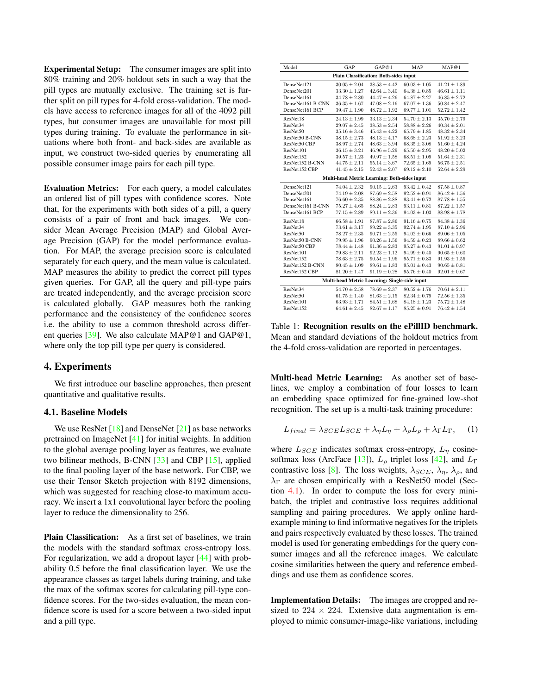Experimental Setup: The consumer images are split into 80% training and 20% holdout sets in such a way that the pill types are mutually exclusive. The training set is further split on pill types for 4-fold cross-validation. The models have access to reference images for all of the 4092 pill types, but consumer images are unavailable for most pill types during training. To evaluate the performance in situations where both front- and back-sides are available as input, we construct two-sided queries by enumerating all possible consumer image pairs for each pill type.

Evaluation Metrics: For each query, a model calculates an ordered list of pill types with confidence scores. Note that, for the experiments with both sides of a pill, a query consists of a pair of front and back images. We consider Mean Average Precision (MAP) and Global Average Precision (GAP) for the model performance evaluation. For MAP, the average precision score is calculated separately for each query, and the mean value is calculated. MAP measures the ability to predict the correct pill types given queries. For GAP, all the query and pill-type pairs are treated independently, and the average precision score is calculated globally. GAP measures both the ranking performance and the consistency of the confidence scores i.e. the ability to use a common threshold across different queries [39]. We also calculate MAP@1 and GAP@1, where only the top pill type per query is considered.

# 4. Experiments

We first introduce our baseline approaches, then present quantitative and qualitative results.

#### 4.1. Baseline Models

We use ResNet  $[18]$  and DenseNet  $[21]$  as base networks pretrained on ImageNet [41] for initial weights. In addition to the global average pooling layer as features, we evaluate two bilinear methods, B-CNN [33] and CBP [15], applied to the final pooling layer of the base network. For CBP, we use their Tensor Sketch projection with 8192 dimensions, which was suggested for reaching close-to maximum accuracy. We insert a 1x1 convolutional layer before the pooling layer to reduce the dimensionality to 256.

Plain Classification: As a first set of baselines, we train the models with the standard softmax cross-entropy loss. For regularization, we add a dropout layer [44] with probability 0.5 before the final classification layer. We use the appearance classes as target labels during training, and take the max of the softmax scores for calculating pill-type confidence scores. For the two-sides evaluation, the mean confidence score is used for a score between a two-sided input and a pill type.

| Model                                         | GAP              | GAP@1            | <b>MAP</b>       | MAP@1            |  |  |  |
|-----------------------------------------------|------------------|------------------|------------------|------------------|--|--|--|
| <b>Plain Classification: Both-sides input</b> |                  |                  |                  |                  |  |  |  |
| DenseNet121                                   | $30.05 \pm 2.04$ | $38.53 \pm 4.42$ | $60.03 \pm 1.05$ | $41.21 \pm 1.89$ |  |  |  |
| DenseNet201                                   | $33.30 \pm 1.27$ | $42.64 \pm 3.40$ | $64.38 \pm 0.85$ | $46.61 \pm 1.11$ |  |  |  |
| DenseNet161                                   | $34.78 \pm 2.80$ | $44.47 \pm 4.26$ | $64.87 \pm 2.27$ | $46.85 \pm 2.72$ |  |  |  |
| DenseNet161 B-CNN                             | $36.35 \pm 1.67$ | $47.08 \pm 2.16$ | $67.07 \pm 1.36$ | $50.84 \pm 2.47$ |  |  |  |
| DenseNet161 BCP                               | $39.47 \pm 1.90$ | $48.72 \pm 1.92$ | $69.77 \pm 1.01$ | $52.72 \pm 1.42$ |  |  |  |
| ResNet18                                      | $24.13 \pm 1.99$ | $33.13 \pm 2.34$ | $54.70 \pm 2.13$ | $35.70 \pm 2.79$ |  |  |  |
| ResNet34                                      | $29.07 \pm 2.45$ | $38.53 \pm 2.54$ | $58.88 \pm 2.26$ | $40.34 \pm 2.01$ |  |  |  |
| ResNet50                                      | $35.16 \pm 3.46$ | $45.43 \pm 4.22$ | $65.79 \pm 1.85$ | $48.32 \pm 2.34$ |  |  |  |
| ResNet50 B-CNN                                | $38.15 \pm 2.73$ | $48.13 \pm 4.17$ | $68.68 \pm 2.23$ | $51.92 \pm 3.23$ |  |  |  |
| ResNet50 CBP                                  | $38.97 \pm 2.74$ | $48.63 \pm 3.94$ | $68.35 \pm 3.08$ | $51.60 \pm 4.24$ |  |  |  |
| ResNet101                                     | $36.15 \pm 3.21$ | $46.96 \pm 5.29$ | $65.50 \pm 2.95$ | $48.20 \pm 5.02$ |  |  |  |
| ResNet152                                     | $39.57 \pm 1.23$ | $49.97 \pm 1.58$ | $68.51 \pm 1.09$ | $51.64 \pm 2.31$ |  |  |  |
| ResNet152 B-CNN                               | $44.75 \pm 2.11$ | $55.14 \pm 3.67$ | $72.65 \pm 1.69$ | $56.75 \pm 2.51$ |  |  |  |
| ResNet152 CBP                                 | $41.45 \pm 2.15$ | $52.43 \pm 2.07$ | $69.12 \pm 2.10$ | $52.64 \pm 2.29$ |  |  |  |
| Multi-head Metric Learning: Both-sides input  |                  |                  |                  |                  |  |  |  |
| DenseNet121                                   | $74.04 \pm 2.32$ | $90.15 \pm 2.63$ | $93.42 \pm 0.42$ | $87.58 \pm 0.87$ |  |  |  |
| DenseNet201                                   | $74.19 \pm 2.08$ | $87.69 \pm 2.58$ | $92.52 \pm 0.91$ | $86.42 \pm 1.56$ |  |  |  |
| DenseNet161                                   | $76.60 \pm 2.35$ | $88.86 \pm 2.88$ | $93.41 \pm 0.72$ | $87.78 \pm 1.55$ |  |  |  |
| DenseNet161 B-CNN                             | $75.27 \pm 4.65$ | $88.24 \pm 2.83$ | $93.11 \pm 0.81$ | $87.22 \pm 1.57$ |  |  |  |
| DenseNet161 BCP                               | $77.15 \pm 2.89$ | $89.11 \pm 2.36$ | $94.03 \pm 1.03$ | $88.98 \pm 1.78$ |  |  |  |
| ResNet18                                      | $66.58 \pm 1.91$ | $87.87 \pm 2.86$ | $91.16 \pm 0.75$ | $84.38 \pm 1.36$ |  |  |  |
| ResNet34                                      | $73.61 \pm 3.17$ | $89.22 \pm 3.35$ | $92.74 \pm 1.95$ | $87.10 \pm 2.96$ |  |  |  |
| ResNet50                                      | $78.27 \pm 2.35$ | $90.71 \pm 2.55$ | $94.02 \pm 0.66$ | $89.06 \pm 1.05$ |  |  |  |
| ResNet50 B-CNN                                | $79.95 \pm 1.96$ | $90.26 \pm 1.56$ | $94.59 \pm 0.23$ | $89.66 \pm 0.62$ |  |  |  |
| ResNet50 CBP                                  | $78.44 \pm 1.48$ | $91.36 \pm 2.83$ | $95.27 \pm 0.43$ | $91.01 \pm 0.97$ |  |  |  |
| ResNet101                                     | $79.83 \pm 2.11$ | $92.23 \pm 1.12$ | $94.99 \pm 0.40$ | $90.65 \pm 0.60$ |  |  |  |
| ResNet152                                     | $78.63 \pm 2.75$ | $90.54 \pm 1.96$ | $95.71 \pm 0.83$ | $91.93 \pm 1.56$ |  |  |  |
| ResNet152 B-CNN                               | $80.45 \pm 1.09$ | $89.61 \pm 1.83$ | $95.01 \pm 0.43$ | $90.65 \pm 0.81$ |  |  |  |
| ResNet152 CBP                                 | $81.20 \pm 1.47$ | $91.19 \pm 0.28$ | $95.76 \pm 0.40$ | $92.01 \pm 0.67$ |  |  |  |
| Multi-head Metric Learning: Single-side input |                  |                  |                  |                  |  |  |  |
| ResNet34                                      | $54.70 \pm 2.58$ | $78.69 \pm 2.37$ | $80.52 \pm 1.76$ | $70.61 \pm 2.11$ |  |  |  |
| ResNet50                                      | $61.75 \pm 1.40$ | $81.63 \pm 2.15$ | $82.34 \pm 0.79$ | $72.56 \pm 1.35$ |  |  |  |
| ResNet101                                     | $63.93 \pm 1.71$ | $84.51 \pm 1.68$ | $84.18 \pm 1.23$ | $75.72 \pm 1.48$ |  |  |  |
| ResNet152                                     | $64.61 \pm 2.45$ | $82.67 \pm 1.17$ | $85.25 \pm 0.91$ | $76.42 \pm 1.54$ |  |  |  |

Table 1: Recognition results on the ePillID benchmark. Mean and standard deviations of the holdout metrics from the 4-fold cross-validation are reported in percentages.

Multi-head Metric Learning: As another set of baselines, we employ a combination of four losses to learn an embedding space optimized for fine-grained low-shot recognition. The set up is a multi-task training procedure:

$$
L_{final} = \lambda_{SCE} L_{SCE} + \lambda_{\eta} L_{\eta} + \lambda_{\rho} L_{\rho} + \lambda_{\Gamma} L_{\Gamma}, \quad (1)
$$

where  $L_{SCE}$  indicates softmax cross-entropy,  $L_{\eta}$  cosinesoftmax loss (ArcFace [13]),  $L<sub>\rho</sub>$  triplet loss [42], and  $L<sub>\Gamma</sub>$ contrastive loss [8]. The loss weights,  $\lambda_{SCE}$ ,  $\lambda_n$ ,  $\lambda_\rho$ , and  $\lambda_{\Gamma}$  are chosen empirically with a ResNet50 model (Section 4.1). In order to compute the loss for every minibatch, the triplet and contrastive loss requires additional sampling and pairing procedures. We apply online hardexample mining to find informative negatives for the triplets and pairs respectively evaluated by these losses. The trained model is used for generating embeddings for the query consumer images and all the reference images. We calculate cosine similarities between the query and reference embeddings and use them as confidence scores.

Implementation Details: The images are cropped and resized to  $224 \times 224$ . Extensive data augmentation is employed to mimic consumer-image-like variations, including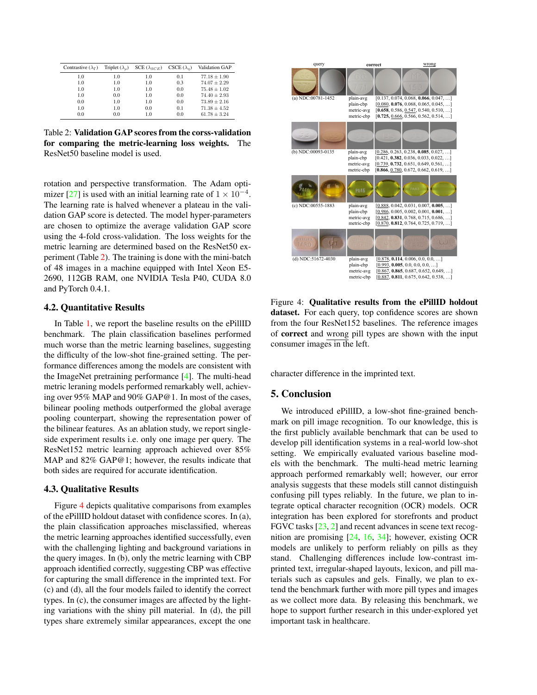| Contrastive $(\lambda_{\Gamma})$ | Triplet $(\lambda_o)$ | SCE $(\lambda_{SCE})$ | $CSCE(\lambda_n)$ | Validation GAP   |
|----------------------------------|-----------------------|-----------------------|-------------------|------------------|
| 1.0                              | 1.0                   | 1.0                   | 0.1               | $77.18 \pm 1.90$ |
| 1.0                              | 1.0                   | 1.0                   | 0.3               | $74.07 \pm 2.29$ |
| 1.0                              | 1.0                   | 1.0                   | 0.0               | $75.48 \pm 1.02$ |
| 1.0                              | 0.0                   | 1.0                   | 0.0               | $74.40 \pm 2.93$ |
| 0.0                              | 1.0                   | 1.0                   | 0.0               | $73.89 \pm 2.16$ |
| 1.0                              | 1.0                   | 0.0                   | 0.1               | $71.38 \pm 4.52$ |
| 0.0                              | 0.0                   | 1.0                   | 0.0               | $61.78 \pm 3.24$ |

Table 2: Validation GAP scores from the corss-validation for comparing the metric-learning loss weights. The ResNet50 baseline model is used.

rotation and perspective transformation. The Adam optimizer [27] is used with an initial learning rate of  $1 \times 10^{-4}$ . The learning rate is halved whenever a plateau in the validation GAP score is detected. The model hyper-parameters are chosen to optimize the average validation GAP score using the 4-fold cross-validation. The loss weights for the metric learning are determined based on the ResNet50 experiment (Table 2). The training is done with the mini-batch of 48 images in a machine equipped with Intel Xeon E5- 2690, 112GB RAM, one NVIDIA Tesla P40, CUDA 8.0 and PyTorch 0.4.1.

### 4.2. Quantitative Results

In Table 1, we report the baseline results on the ePillID benchmark. The plain classification baselines performed much worse than the metric learning baselines, suggesting the difficulty of the low-shot fine-grained setting. The performance differences among the models are consistent with the ImageNet pretraining performance [4]. The multi-head metric leraning models performed remarkably well, achieving over 95% MAP and 90% GAP@1. In most of the cases, bilinear pooling methods outperformed the global average pooling counterpart, showing the representation power of the bilinear features. As an ablation study, we report singleside experiment results i.e. only one image per query. The ResNet152 metric learning approach achieved over 85% MAP and 82% GAP@1; however, the results indicate that both sides are required for accurate identification.

### 4.3. Qualitative Results

Figure 4 depicts qualitative comparisons from examples of the ePillID holdout dataset with confidence scores. In (a), the plain classification approaches misclassified, whereas the metric learning approaches identified successfully, even with the challenging lighting and background variations in the query images. In (b), only the metric learning with CBP approach identified correctly, suggesting CBP was effective for capturing the small difference in the imprinted text. For (c) and (d), all the four models failed to identify the correct types. In (c), the consumer images are affected by the lighting variations with the shiny pill material. In (d), the pill types share extremely similar appearances, except the one



Figure 4: Qualitative results from the ePillID holdout dataset. For each query, top confidence scores are shown from the four ResNet152 baselines. The reference images of correct and wrong pill types are shown with the input consumer images in the left.

character difference in the imprinted text.

## 5. Conclusion

We introduced ePillID, a low-shot fine-grained benchmark on pill image recognition. To our knowledge, this is the first publicly available benchmark that can be used to develop pill identification systems in a real-world low-shot setting. We empirically evaluated various baseline models with the benchmark. The multi-head metric learning approach performed remarkably well; however, our error analysis suggests that these models still cannot distinguish confusing pill types reliably. In the future, we plan to integrate optical character recognition (OCR) models. OCR integration has been explored for storefronts and product FGVC tasks [23, 2] and recent advances in scene text recognition are promising [24, 16, 34]; however, existing OCR models are unlikely to perform reliably on pills as they stand. Challenging differences include low-contrast imprinted text, irregular-shaped layouts, lexicon, and pill materials such as capsules and gels. Finally, we plan to extend the benchmark further with more pill types and images as we collect more data. By releasing this benchmark, we hope to support further research in this under-explored yet important task in healthcare.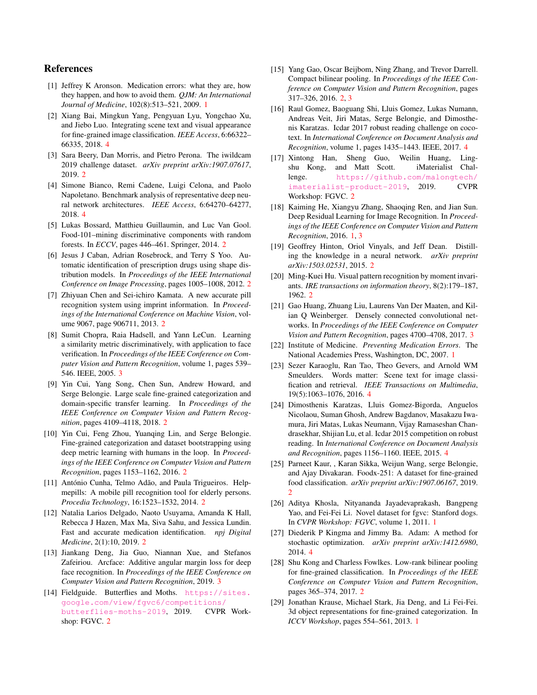# References

- [1] Jeffrey K Aronson. Medication errors: what they are, how they happen, and how to avoid them. *QJM: An International Journal of Medicine*, 102(8):513–521, 2009. 1
- [2] Xiang Bai, Mingkun Yang, Pengyuan Lyu, Yongchao Xu, and Jiebo Luo. Integrating scene text and visual appearance for fine-grained image classification. *IEEE Access*, 6:66322– 66335, 2018. 4
- [3] Sara Beery, Dan Morris, and Pietro Perona. The iwildcam 2019 challenge dataset. *arXiv preprint arXiv:1907.07617*, 2019. 2
- [4] Simone Bianco, Remi Cadene, Luigi Celona, and Paolo Napoletano. Benchmark analysis of representative deep neural network architectures. *IEEE Access*, 6:64270–64277, 2018. 4
- [5] Lukas Bossard, Matthieu Guillaumin, and Luc Van Gool. Food-101–mining discriminative components with random forests. In *ECCV*, pages 446–461. Springer, 2014. 2
- [6] Jesus J Caban, Adrian Rosebrock, and Terry S Yoo. Automatic identification of prescription drugs using shape distribution models. In *Proceedings of the IEEE International Conference on Image Processing*, pages 1005–1008, 2012. 2
- [7] Zhiyuan Chen and Sei-ichiro Kamata. A new accurate pill recognition system using imprint information. In *Proceedings of the International Conference on Machine Vision*, volume 9067, page 906711, 2013. 2
- [8] Sumit Chopra, Raia Hadsell, and Yann LeCun. Learning a similarity metric discriminatively, with application to face verification. In *Proceedings of the IEEE Conference on Computer Vision and Pattern Recognition*, volume 1, pages 539– 546. IEEE, 2005. 3
- [9] Yin Cui, Yang Song, Chen Sun, Andrew Howard, and Serge Belongie. Large scale fine-grained categorization and domain-specific transfer learning. In *Proceedings of the IEEE Conference on Computer Vision and Pattern Recognition*, pages 4109–4118, 2018. 2
- [10] Yin Cui, Feng Zhou, Yuanqing Lin, and Serge Belongie. Fine-grained categorization and dataset bootstrapping using deep metric learning with humans in the loop. In *Proceedings of the IEEE Conference on Computer Vision and Pattern Recognition*, pages 1153–1162, 2016. 2
- [11] António Cunha, Telmo Adão, and Paula Trigueiros. Helpmepills: A mobile pill recognition tool for elderly persons. *Procedia Technology*, 16:1523–1532, 2014. 2
- [12] Natalia Larios Delgado, Naoto Usuyama, Amanda K Hall, Rebecca J Hazen, Max Ma, Siva Sahu, and Jessica Lundin. Fast and accurate medication identification. *npj Digital Medicine*, 2(1):10, 2019. 2
- [13] Jiankang Deng, Jia Guo, Niannan Xue, and Stefanos Zafeiriou. Arcface: Additive angular margin loss for deep face recognition. In *Proceedings of the IEEE Conference on Computer Vision and Pattern Recognition*, 2019. 3
- [14] Fieldguide. Butterflies and Moths. https://sites. google.com/view/fgvc6/competitions/ butterflies-moths-2019, 2019. CVPR Workshop: FGVC. 2
- [15] Yang Gao, Oscar Beijbom, Ning Zhang, and Trevor Darrell. Compact bilinear pooling. In *Proceedings of the IEEE Conference on Computer Vision and Pattern Recognition*, pages 317–326, 2016. 2, 3
- [16] Raul Gomez, Baoguang Shi, Lluis Gomez, Lukas Numann, Andreas Veit, Jiri Matas, Serge Belongie, and Dimosthenis Karatzas. Icdar 2017 robust reading challenge on cocotext. In *International Conference on Document Analysis and Recognition*, volume 1, pages 1435–1443. IEEE, 2017. 4
- [17] Xintong Han, Sheng Guo, Weilin Huang, Lingshu Kong, and Matt Scott. iMaterialist Challenge. https://github.com/malongtech/ imaterialist-product-2019, 2019. CVPR Workshop: FGVC. 2
- [18] Kaiming He, Xiangyu Zhang, Shaoqing Ren, and Jian Sun. Deep Residual Learning for Image Recognition. In *Proceedings of the IEEE Conference on Computer Vision and Pattern Recognition*, 2016. 1, 3
- [19] Geoffrey Hinton, Oriol Vinyals, and Jeff Dean. Distilling the knowledge in a neural network. *arXiv preprint arXiv:1503.02531*, 2015. 2
- [20] Ming-Kuei Hu. Visual pattern recognition by moment invariants. *IRE transactions on information theory*, 8(2):179–187, 1962. 2
- [21] Gao Huang, Zhuang Liu, Laurens Van Der Maaten, and Kilian Q Weinberger. Densely connected convolutional networks. In *Proceedings of the IEEE Conference on Computer Vision and Pattern Recognition*, pages 4700–4708, 2017. 3
- [22] Institute of Medicine. *Preventing Medication Errors*. The National Academies Press, Washington, DC, 2007. 1
- [23] Sezer Karaoglu, Ran Tao, Theo Gevers, and Arnold WM Smeulders. Words matter: Scene text for image classification and retrieval. *IEEE Transactions on Multimedia*, 19(5):1063–1076, 2016. 4
- [24] Dimosthenis Karatzas, Lluis Gomez-Bigorda, Anguelos Nicolaou, Suman Ghosh, Andrew Bagdanov, Masakazu Iwamura, Jiri Matas, Lukas Neumann, Vijay Ramaseshan Chandrasekhar, Shijian Lu, et al. Icdar 2015 competition on robust reading. In *International Conference on Document Analysis and Recognition*, pages 1156–1160. IEEE, 2015. 4
- [25] Parneet Kaur, , Karan Sikka, Weijun Wang, serge Belongie, and Ajay Divakaran. Foodx-251: A dataset for fine-grained food classification. *arXiv preprint arXiv:1907.06167*, 2019.  $\mathcal{D}$
- [26] Aditya Khosla, Nityananda Jayadevaprakash, Bangpeng Yao, and Fei-Fei Li. Novel dataset for fgvc: Stanford dogs. In *CVPR Workshop: FGVC*, volume 1, 2011. 1
- [27] Diederik P Kingma and Jimmy Ba. Adam: A method for stochastic optimization. *arXiv preprint arXiv:1412.6980*, 2014. 4
- [28] Shu Kong and Charless Fowlkes. Low-rank bilinear pooling for fine-grained classification. In *Proceedings of the IEEE Conference on Computer Vision and Pattern Recognition*, pages 365–374, 2017. 2
- [29] Jonathan Krause, Michael Stark, Jia Deng, and Li Fei-Fei. 3d object representations for fine-grained categorization. In *ICCV Workshop*, pages 554–561, 2013. 1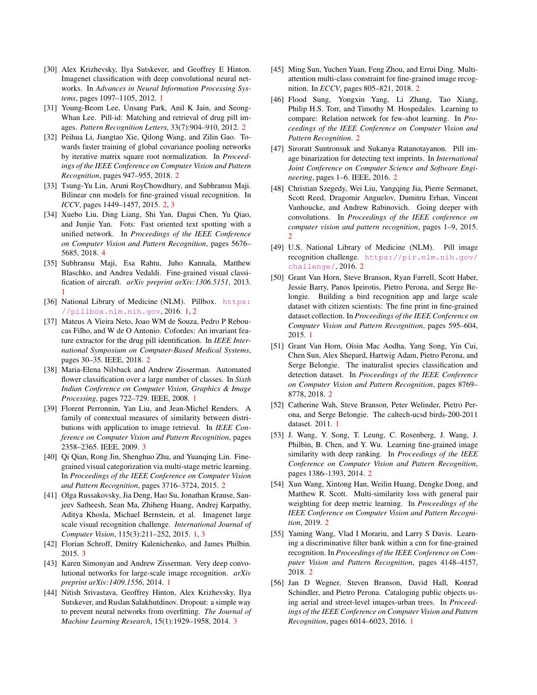- [30] Alex Krizhevsky, Ilya Sutskever, and Geoffrey E Hinton. Imagenet classification with deep convolutional neural networks. In *Advances in Neural Information Processing Systems*, pages 1097–1105, 2012. 1
- [31] Young-Beom Lee, Unsang Park, Anil K Jain, and Seong-Whan Lee. Pill-id: Matching and retrieval of drug pill images. *Pattern Recognition Letters*, 33(7):904–910, 2012. 2
- [32] Peihua Li, Jiangtao Xie, Qilong Wang, and Zilin Gao. Towards faster training of global covariance pooling networks by iterative matrix square root normalization. In *Proceedings of the IEEE Conference on Computer Vision and Pattern Recognition*, pages 947–955, 2018. 2
- [33] Tsung-Yu Lin, Aruni RoyChowdhury, and Subhransu Maji. Bilinear cnn models for fine-grained visual recognition. In *ICCV*, pages 1449–1457, 2015. 2, 3
- [34] Xuebo Liu, Ding Liang, Shi Yan, Dagui Chen, Yu Qiao, and Junjie Yan. Fots: Fast oriented text spotting with a unified network. In *Proceedings of the IEEE Conference on Computer Vision and Pattern Recognition*, pages 5676– 5685, 2018. 4
- [35] Subhransu Maji, Esa Rahtu, Juho Kannala, Matthew Blaschko, and Andrea Vedaldi. Fine-grained visual classification of aircraft. *arXiv preprint arXiv:1306.5151*, 2013. 1
- [36] National Library of Medicine (NLM). Pillbox. https: //pillbox.nlm.nih.gov, 2016. 1, 2
- [37] Mateus A Vieira Neto, Joao WM de Souza, Pedro P Reboucas Filho, and W de O Antonio. Cofordes: An invariant feature extractor for the drug pill identification. In *IEEE International Symposium on Computer-Based Medical Systems*, pages 30–35. IEEE, 2018. 2
- [38] Maria-Elena Nilsback and Andrew Zisserman. Automated flower classification over a large number of classes. In *Sixth Indian Conference on Computer Vision, Graphics & Image Processing*, pages 722–729. IEEE, 2008. 1
- [39] Florent Perronnin, Yan Liu, and Jean-Michel Renders. A family of contextual measures of similarity between distributions with application to image retrieval. In *IEEE Conference on Computer Vision and Pattern Recognition*, pages 2358–2365. IEEE, 2009. 3
- [40] Qi Qian, Rong Jin, Shenghuo Zhu, and Yuanqing Lin. Finegrained visual categorization via multi-stage metric learning. In *Proceedings of the IEEE Conference on Computer Vision and Pattern Recognition*, pages 3716–3724, 2015. 2
- [41] Olga Russakovsky, Jia Deng, Hao Su, Jonathan Krause, Sanjeev Satheesh, Sean Ma, Zhiheng Huang, Andrej Karpathy, Aditya Khosla, Michael Bernstein, et al. Imagenet large scale visual recognition challenge. *International Journal of Computer Vision*, 115(3):211–252, 2015. 1, 3
- [42] Florian Schroff, Dmitry Kalenichenko, and James Philbin. 2015. 3
- [43] Karen Simonyan and Andrew Zisserman. Very deep convolutional networks for large-scale image recognition. *arXiv preprint arXiv:1409.1556*, 2014. 1
- [44] Nitish Srivastava, Geoffrey Hinton, Alex Krizhevsky, Ilya Sutskever, and Ruslan Salakhutdinov. Dropout: a simple way to prevent neural networks from overfitting. *The Journal of Machine Learning Research*, 15(1):1929–1958, 2014. 3
- [45] Ming Sun, Yuchen Yuan, Feng Zhou, and Errui Ding. Multiattention multi-class constraint for fine-grained image recognition. In *ECCV*, pages 805–821, 2018. 2
- [46] Flood Sung, Yongxin Yang, Li Zhang, Tao Xiang, Philip H.S. Torr, and Timothy M. Hospedales. Learning to compare: Relation network for few-shot learning. In *Proceedings of the IEEE Conference on Computer Vision and Pattern Recognition*. 2
- [47] Siroratt Suntronsuk and Sukanya Ratanotayanon. Pill image binarization for detecting text imprints. In *International Joint Conference on Computer Science and Software Engineering*, pages 1–6. IEEE, 2016. 2
- [48] Christian Szegedy, Wei Liu, Yangqing Jia, Pierre Sermanet, Scott Reed, Dragomir Anguelov, Dumitru Erhan, Vincent Vanhoucke, and Andrew Rabinovich. Going deeper with convolutions. In *Proceedings of the IEEE conference on computer vision and pattern recognition*, pages 1–9, 2015. 2
- [49] U.S. National Library of Medicine (NLM). Pill image recognition challenge. https://pir.nlm.nih.gov/ challenge/, 2016. 2
- [50] Grant Van Horn, Steve Branson, Ryan Farrell, Scott Haber, Jessie Barry, Panos Ipeirotis, Pietro Perona, and Serge Belongie. Building a bird recognition app and large scale dataset with citizen scientists: The fine print in fine-grained dataset collection. In *Proceedings of the IEEE Conference on Computer Vision and Pattern Recognition*, pages 595–604, 2015. 1
- [51] Grant Van Horn, Oisin Mac Aodha, Yang Song, Yin Cui, Chen Sun, Alex Shepard, Hartwig Adam, Pietro Perona, and Serge Belongie. The inaturalist species classification and detection dataset. In *Proceedings of the IEEE Conference on Computer Vision and Pattern Recognition*, pages 8769– 8778, 2018. 2
- [52] Catherine Wah, Steve Branson, Peter Welinder, Pietro Perona, and Serge Belongie. The caltech-ucsd birds-200-2011 dataset. 2011. 1
- [53] J. Wang, Y. Song, T. Leung, C. Rosenberg, J. Wang, J. Philbin, B. Chen, and Y. Wu. Learning fine-grained image similarity with deep ranking. In *Proceedings of the IEEE Conference on Computer Vision and Pattern Recognition*, pages 1386–1393, 2014. 2
- [54] Xun Wang, Xintong Han, Weilin Huang, Dengke Dong, and Matthew R. Scott. Multi-similarity loss with general pair weighting for deep metric learning. In *Proceedings of the IEEE Conference on Computer Vision and Pattern Recognition*, 2019. 2
- [55] Yaming Wang, Vlad I Morariu, and Larry S Davis. Learning a discriminative filter bank within a cnn for fine-grained recognition. In *Proceedings of the IEEE Conference on Computer Vision and Pattern Recognition*, pages 4148–4157, 2018. 2
- [56] Jan D Wegner, Steven Branson, David Hall, Konrad Schindler, and Pietro Perona. Cataloging public objects using aerial and street-level images-urban trees. In *Proceedings of the IEEE Conference on Computer Vision and Pattern Recognition*, pages 6014–6023, 2016. 1